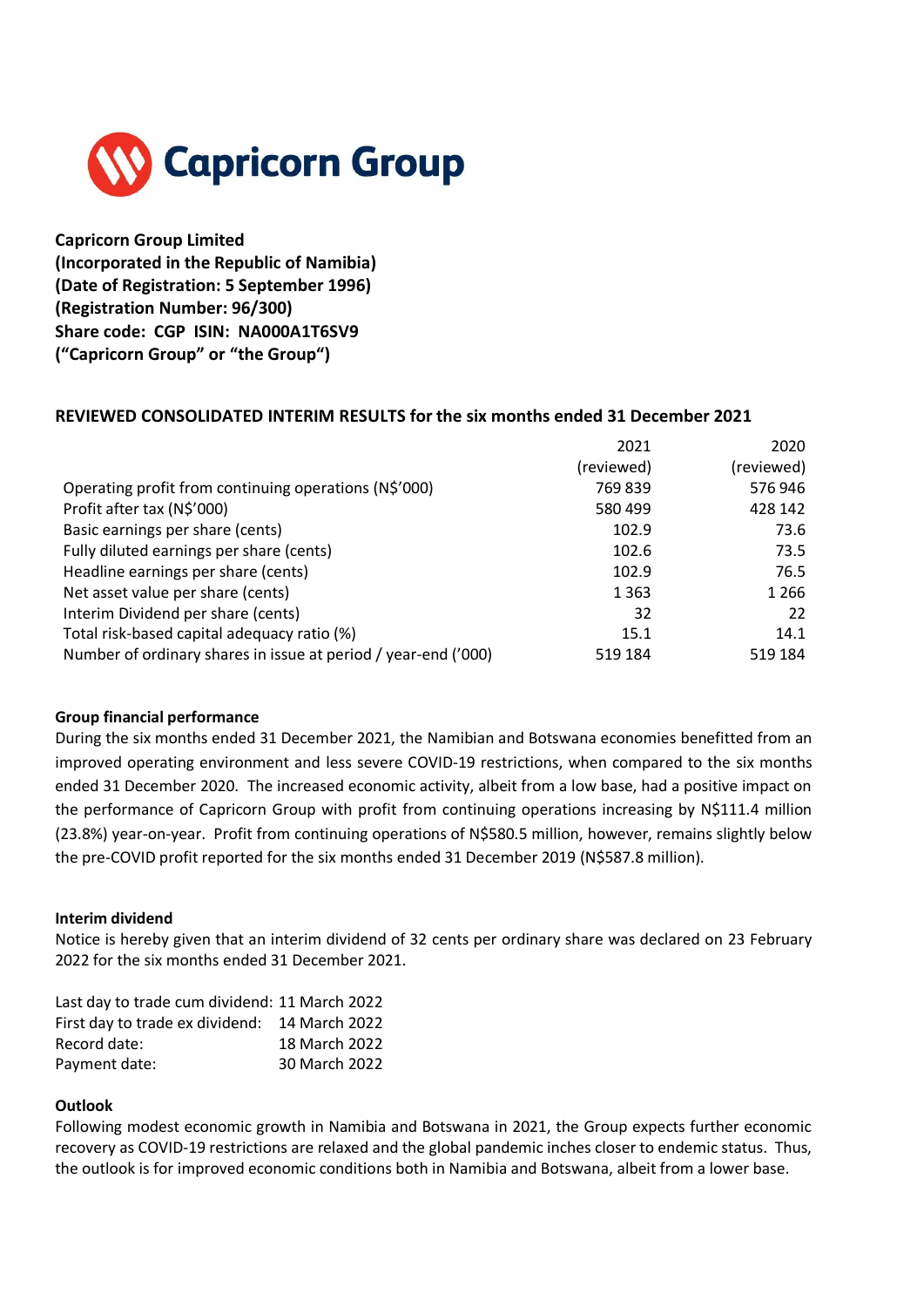

**Capricorn Group Limited (Incorporated in the Republic of Namibia) (Date of Registration: 5 September 1996) (Registration Number: 96/300) Share code: CGP ISIN: NA000A1T6SV9 ("Capricorn Group" or "the Group")**

# **REVIEWED CONSOLIDATED INTERIM RESULTS for the six months ended 31 December 2021**

|                                                                | 2021       | 2020       |
|----------------------------------------------------------------|------------|------------|
|                                                                | (reviewed) | (reviewed) |
| Operating profit from continuing operations (N\$'000)          | 769839     | 576946     |
| Profit after tax (N\$'000)                                     | 580 499    | 428 142    |
| Basic earnings per share (cents)                               | 102.9      | 73.6       |
| Fully diluted earnings per share (cents)                       | 102.6      | 73.5       |
| Headline earnings per share (cents)                            | 102.9      | 76.5       |
| Net asset value per share (cents)                              | 1 3 6 3    | 1 2 6 6    |
| Interim Dividend per share (cents)                             | 32         | 22         |
| Total risk-based capital adequacy ratio (%)                    | 15.1       | 14.1       |
| Number of ordinary shares in issue at period / year-end ('000) | 519 184    | 519 184    |

## **Group financial performance**

During the six months ended 31 December 2021, the Namibian and Botswana economies benefitted from an improved operating environment and less severe COVID-19 restrictions, when compared to the six months ended 31 December 2020. The increased economic activity, albeit from a low base, had a positive impact on the performance of Capricorn Group with profit from continuing operations increasing by N\$111.4 million (23.8%) year-on-year. Profit from continuing operations of N\$580.5 million, however, remains slightly below the pre-COVID profit reported for the six months ended 31 December 2019 (N\$587.8 million).

## **Interim dividend**

Notice is hereby given that an interim dividend of 32 cents per ordinary share was declared on 23 February 2022 for the six months ended 31 December 2021.

| Last day to trade cum dividend: 11 March 2022 |               |
|-----------------------------------------------|---------------|
| First day to trade ex dividend: 14 March 2022 |               |
| Record date:                                  | 18 March 2022 |
| Payment date:                                 | 30 March 2022 |

## **Outlook**

Following modest economic growth in Namibia and Botswana in 2021, the Group expects further economic recovery as COVID-19 restrictions are relaxed and the global pandemic inches closer to endemic status. Thus, the outlook is for improved economic conditions both in Namibia and Botswana, albeit from a lower base.